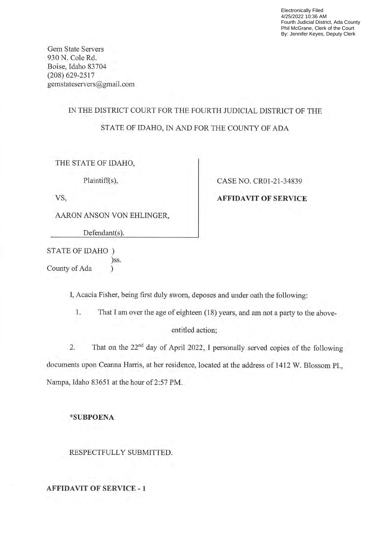Electronically Filed 4/25/2022 10:36 AM Fourth Judicial District, Ada County Phil McGrane, Clerk of the Court By: Jennifer Keyes, Deputy Clerk

Gem State Servers 930 N. Cole Rd. Boise, Idaho 83704 (208) 629-2517 gemstateservers@gmail.com

## IN THE DISTRICT COURT FOR THE FOURTH JUDICIAL DISTRICT OF THE STATE OF IDAHO, IN AND FOR THE COUNTY OF ADA

THE STATE OF IDAHO,

Plaintiff(s),

VS,

AARON ANSON VON EHLINGER,

Defendant(s).

STATE OF IDAHO )ss. County of Ada  $\sum_{i=1}^{n}$ 

CASE NO. CR01-21-34839

AFFIDAVIT OF SERVICE

I, Acacia Fisher, being first duly sworn, deposes and under oath the following:

1. That I am over the age of eighteen  $(18)$  years, and am not a party to the above-

entitled action;

2. That on the 22<sup>nd</sup> day of April 2022, I personally served copies of the following documents upon Ceanna Harris, at her residence, located at the address of <sup>1412</sup> W. Blossom PL, Nampa, Idaho 83651 at the hour of 2:57 PM.

\*SUBPOENA

RESPECTFULLY SUBMITTED.

AFFIDAVIT OF SERVICE